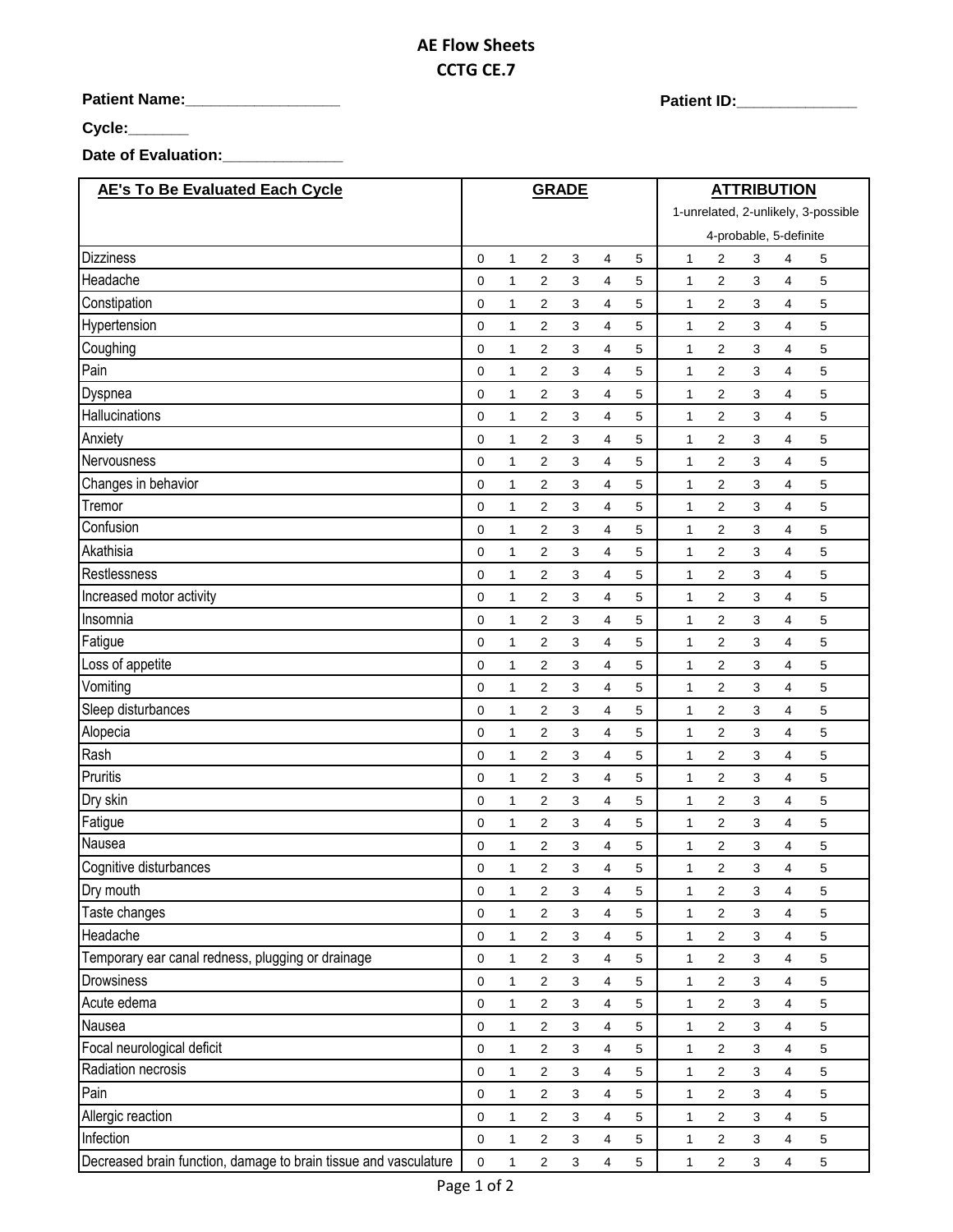## **AE Flow Sheets CCTG CE.7**

**Patient Name:\_\_\_\_\_\_\_\_\_\_\_\_\_\_\_\_\_\_ Patient ID:\_\_\_\_\_\_\_\_\_\_\_\_\_\_** 

**Cycle:\_\_\_\_\_\_\_**

**Date of Evaluation:\_\_\_\_\_\_\_\_\_\_\_\_\_\_**

| <b>AE's To Be Evaluated Each Cycle</b>                           |                  |              | <b>GRADE</b>   |              |                         |            | <b>ATTRIBUTION</b>                  |                |                           |                |             |  |
|------------------------------------------------------------------|------------------|--------------|----------------|--------------|-------------------------|------------|-------------------------------------|----------------|---------------------------|----------------|-------------|--|
|                                                                  |                  |              |                |              |                         |            | 1-unrelated, 2-unlikely, 3-possible |                |                           |                |             |  |
|                                                                  |                  |              |                |              |                         |            |                                     |                | 4-probable, 5-definite    |                |             |  |
| <b>Dizziness</b>                                                 | 0                | $\mathbf{1}$ | 2              | 3            | 4                       | 5          | 1                                   | 2              | 3                         | 4              | 5           |  |
| Headache                                                         | 0                | $\mathbf{1}$ | 2              | 3            | 4                       | 5          | $\mathbf{1}$                        | 2              | 3                         | 4              | 5           |  |
| Constipation                                                     | 0                | 1            | 2              | 3            | 4                       | 5          | $\mathbf{1}$                        | 2              | 3                         | 4              | 5           |  |
| Hypertension                                                     | 0                | 1            | 2              | 3            | 4                       | 5          | $\mathbf{1}$                        | 2              | 3                         | 4              | 5           |  |
| Coughing                                                         | 0                | 1            | 2              | 3            | 4                       | 5          | 1                                   | 2              | 3                         | 4              | 5           |  |
| Pain                                                             | 0                | 1            | 2              | 3            | 4                       | 5          | $\mathbf{1}$                        | 2              | 3                         | 4              | 5           |  |
| Dyspnea                                                          | 0                | $\mathbf{1}$ | $\overline{2}$ | 3            | 4                       | 5          | $\mathbf{1}$                        | 2              | 3                         | 4              | 5           |  |
| Hallucinations                                                   | 0                | 1            | 2              | 3            | 4                       | 5          | 1                                   | 2              | 3                         | 4              | 5           |  |
| Anxiety                                                          | 0                | 1            | 2              | 3            | 4                       | 5          | $\mathbf{1}$                        | 2              | 3                         | 4              | 5           |  |
| Nervousness                                                      | 0                | 1            | $\overline{c}$ | 3            | 4                       | 5          | 1                                   | 2              | 3                         | 4              | 5           |  |
| Changes in behavior                                              | 0                | $\mathbf{1}$ | 2              | 3            | 4                       | 5          | $\mathbf{1}$                        | 2              | 3                         | 4              | 5           |  |
| Tremor                                                           | 0                | 1            | $\overline{c}$ | 3            | 4                       | 5          | 1                                   | 2              | 3                         | 4              | 5           |  |
| Confusion                                                        | $\mathbf 0$      | $\mathbf{1}$ | $\overline{2}$ | 3            | 4                       | 5          | $\mathbf{1}$                        | 2              | 3                         | 4              | 5           |  |
| Akathisia                                                        | 0                | 1            | 2              | 3            | 4                       | 5          | 1                                   | 2              | 3                         | 4              | 5           |  |
| Restlessness                                                     | 0                | 1            | 2              | 3            | 4                       | 5          | 1                                   | 2              | 3                         | 4              | 5           |  |
| Increased motor activity                                         | $\mathbf 0$      | 1            | $\overline{2}$ | 3            | 4                       | 5          | $\mathbf{1}$                        | 2              | 3                         | 4              | 5           |  |
| Insomnia                                                         | 0                | 1            | $\overline{2}$ | 3            | 4                       | 5          | 1                                   | 2              | 3                         | 4              | 5           |  |
| Fatigue                                                          | 0                | 1            | $\overline{2}$ | 3            | 4                       | 5          | $\mathbf{1}$                        | 2              | 3                         | 4              | 5           |  |
| Loss of appetite                                                 | $\mathbf 0$      | $\mathbf{1}$ | $\overline{2}$ | 3            | 4                       | 5          | $\mathbf{1}$                        | 2              | 3                         | 4              | 5           |  |
| Vomiting                                                         | 0                | $\mathbf{1}$ | 2              | 3            | 4                       | 5          | 1                                   | 2              | 3                         | 4              | 5           |  |
| Sleep disturbances                                               | $\mathbf 0$      | $\mathbf{1}$ | 2              | 3            | 4                       | 5          | $\mathbf{1}$                        | 2              | 3                         | 4              | 5           |  |
| Alopecia                                                         | 0                | 1            | 2              | 3            | 4                       | 5          | $\mathbf{1}$                        | 2              | 3                         | 4              | 5           |  |
| Rash                                                             | 0                | $\mathbf{1}$ | 2              | 3            | 4                       | 5          | 1                                   | 2              | 3                         | 4              | 5           |  |
| Pruritis                                                         | 0                | 1            | 2              | 3            | 4                       | 5          | 1                                   | 2              | 3                         | 4              | 5           |  |
| Dry skin                                                         | 0                | 1            | 2              | 3            | 4                       | 5          | $\mathbf{1}$                        | 2              | 3                         | 4              | 5           |  |
| Fatigue                                                          | 0                | 1            | 2              | 3            | 4                       | 5          | 1                                   | 2              | 3                         | 4              | 5           |  |
| Nausea                                                           | 0                | 1            | 2              | 3            | 4                       | 5          | 1                                   | 2              | 3                         | 4              | 5           |  |
| Cognitive disturbances                                           | $\mathbf 0$      | 1            | $\overline{2}$ | 3            | 4                       | 5          | $\mathbf{1}$                        | 2              | 3                         | 4              | 5           |  |
| Dry mouth                                                        | 0                | 1            | $\sqrt{2}$     | 3            | 4                       | 5          | 1                                   | $\overline{c}$ | 3                         | $\overline{4}$ | 5           |  |
| Taste changes                                                    | 0                | $\mathbf{1}$ | $\sqrt{2}$     | $\mathbf{3}$ | 4                       | 5          | $\mathbf{1}$                        | $\sqrt{2}$     | $\mathsf 3$               | $\overline{4}$ | 5           |  |
| Headache                                                         | 0                | 1            | $\overline{2}$ | 3            | 4                       | 5          | $\mathbf{1}$                        | $\overline{c}$ | 3                         | $\overline{4}$ | 5           |  |
| Temporary ear canal redness, plugging or drainage                | $\mathbf 0$      | $\mathbf{1}$ | $\overline{2}$ | $\mathbf{3}$ | $\overline{4}$          | 5          | $\mathbf{1}$                        | $\overline{2}$ | $\mathbf{3}$              | $\overline{4}$ | 5           |  |
| Drowsiness                                                       | 0                | $\mathbf{1}$ | $\sqrt{2}$     | $\mathbf{3}$ | $\overline{\mathbf{4}}$ | 5          | $\mathbf{1}$                        | 2              | 3                         | $\overline{4}$ | 5           |  |
| Acute edema                                                      | 0                | 1            | $\overline{2}$ | 3            | $\overline{\mathbf{4}}$ | 5          | $\mathbf{1}$                        | $\overline{a}$ | 3                         | $\overline{4}$ | $\,$ 5 $\,$ |  |
| Nausea                                                           | 0                | 1            | $\sqrt{2}$     | $\mathbf{3}$ | 4                       | 5          | $\mathbf{1}$                        | $\mathbf 2$    | 3                         | $\overline{4}$ | 5           |  |
| Focal neurological deficit                                       | 0                | 1            | $\overline{2}$ | 3            | 4                       | 5          | 1                                   | $\overline{2}$ | $\ensuremath{\mathsf{3}}$ | $\overline{4}$ | $\,$ 5 $\,$ |  |
| Radiation necrosis                                               | 0                | $\mathbf{1}$ | $\overline{2}$ | 3            | 4                       | 5          | $\mathbf{1}$                        | $\overline{c}$ | $\mathsf 3$               | $\overline{4}$ | 5           |  |
| Pain                                                             | $\boldsymbol{0}$ | 1            | $\sqrt{2}$     | $\mathbf{3}$ | $\overline{\mathbf{4}}$ | 5          | $\mathbf{1}$                        | $\mathbf 2$    | 3                         | $\overline{4}$ | 5           |  |
| Allergic reaction                                                | $\pmb{0}$        | $\mathbf{1}$ | $\overline{2}$ | 3            | $\overline{\mathbf{4}}$ | 5          | 1                                   | $\overline{c}$ | 3                         | $\overline{4}$ | 5           |  |
| Infection                                                        | $\boldsymbol{0}$ | $\mathbf{1}$ | $\overline{2}$ | 3            | 4                       | 5          | $\mathbf{1}$                        | $\overline{2}$ | 3                         | $\overline{4}$ | $\,$ 5 $\,$ |  |
| Decreased brain function, damage to brain tissue and vasculature | $\pmb{0}$        | 1            | $\overline{2}$ | 3            | $\overline{4}$          | $\sqrt{5}$ | $\mathbf{1}$                        | $\overline{2}$ | $\ensuremath{\mathsf{3}}$ | 4              | $\,$ 5 $\,$ |  |